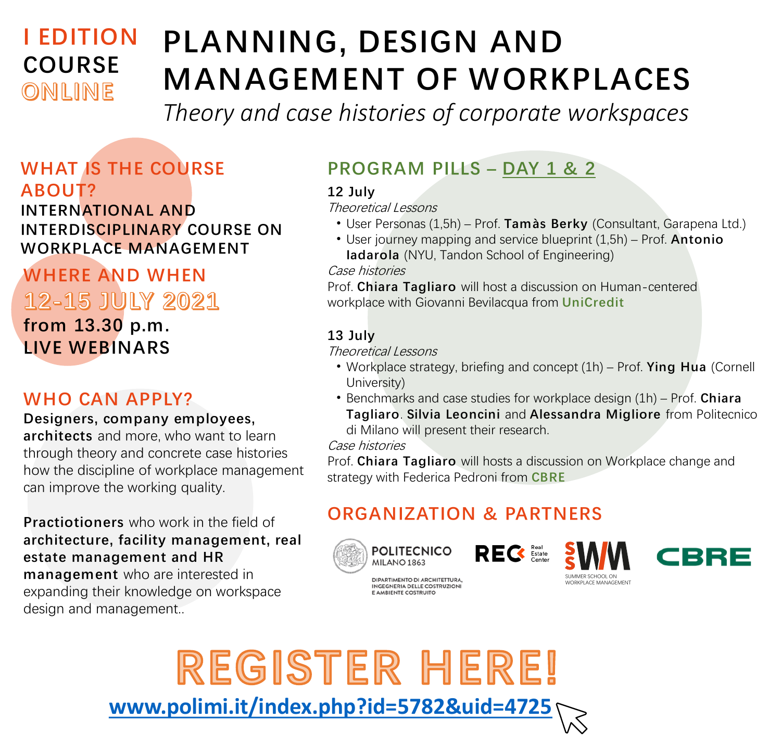# **I EDITION COURSE** ONLINE

# **PLANNING, DESIGN AND MANAGEMENT OF WORKPLACES**

*Theory and case histories of corporate workspaces*

### **WHAT IS THE COURSE ABOUT?**

**INTERNATIONAL AND INTERDISCIPLINARY COURSE ON WORKPLACE MANAGEMENT**

# **WHERE AND WHEN** 12-15 JULY 2021 **from 13.30 p.m. LIVE WEBINARS**

#### **WHO CAN APPLY?**

**Designers, company employees,** 

**architects** and more, who want to learn through theory and concrete case histories how the discipline of workplace management can improve the working quality.

**Practiotioners** who work in the field of **architecture, facility management, real estate management and HR management** who are interested in expanding their knowledge on workspace design and management...

# **PROGRAM PILLS – DAY 1 & 2**

**12 July**

Theoretical Lessons

- User Personas (1,5h) Prof. **Tamàs Berky** (Consultant, Garapena Ltd.)
- User journey mapping and service blueprint (1,5h) Prof. **Antonio Iadarola** (NYU, Tandon School of Engineering)

Case histories

Prof. **Chiara Tagliaro** will host a discussion on Human-centered workplace with Giovanni Bevilacqua from **UniCredit**

#### **13 July**

Theoretical Lessons

- Workplace strategy, briefing and concept (1h) Prof. **Ying Hua** (Cornell University)
- Benchmarks and case studies for workplace design (1h) Prof. **Chiara Tagliaro**. **Silvia Leoncini** and **Alessandra Migliore** from Politecnico di Milano will present their research.

Case histories

Prof. **Chiara Tagliaro** will hosts a discussion on Workplace change and strategy with Federica Pedroni from **CBRE**

# **ORGANIZATION & PARTNERS**





DIPARTIMENTO DI ARCHITETTURA,<br>INGEGNERIA DELLE COSTRUZIONI E AMBIENTE COSTRUITO

**REC** 





REGISTER HERE! **[www.polimi.it/index.php?id=5782&uid=4725](http://www.polimi.it/index.php?id=5782&uid=4725)**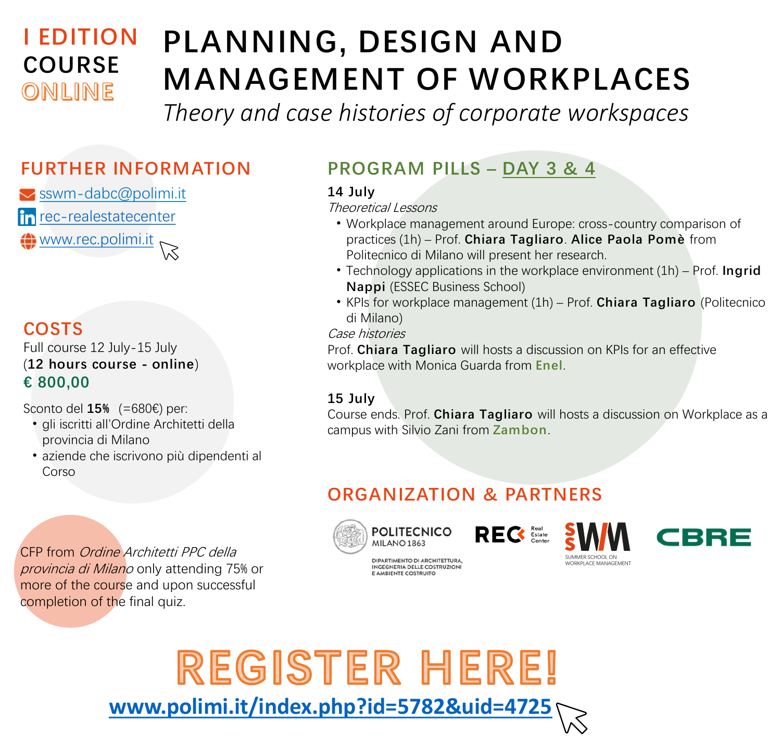# **I EDITION COURSE** ONLINE

# **PLANNING, DESIGN AND MANAGEMENT OF WORKPLACES**

*Theory and case histories of corporate workspaces*

 $\vee$  [sswm-dabc@polimi.it](mailto:sswm-dabc@polimi.it) in [rec-realestatecenter](https://www.linkedin.com/company/rec-realestatecenter) [www.rec.polimi.it](http://www.rec.polimi.it/offerta-formativa/summer-school-wm/)

### **COSTS**

Full course 12 July-15 July (**12 hours course - online**) **€ 800,00**

Sconto del **15%** (=680€) per:

- gli iscritti all'Ordine Architetti della provincia di Milano
- aziende che iscrivono più dipendenti al Corso

CFP from Ordine Architetti PPC della provincia di Milano only attending 75% or more of the course and upon successful completion of the final quiz.

# **FURTHER INFORMATION PROGRAM PILLS – DAY 3 & 4**

#### **14 July**

Theoretical Lessons

- Workplace management around Europe: cross-country comparison of practices (1h) – Prof. **Chiara Tagliaro**. **Alice Paola Pomè** from Politecnico di Milano will present her research.
- Technology applications in the workplace environment (1h) Prof. **Ingrid Nappi** (ESSEC Business School)
- KPIs for workplace management (1h) Prof. **Chiara Tagliaro** (Politecnico di Milano)

#### Case histories

Prof. **Chiara Tagliaro** will hosts a discussion on KPIs for an effective workplace with Monica Guarda from **Enel**.

#### **15 July**

Course ends. Prof. **Chiara Tagliaro** will hosts a discussion on Workplace as a campus with Silvio Zani from **Zambon**.

### **ORGANIZATION & PARTNERS**



**POLITECNICO** MILANO<sub>1863</sub>

DIPARTIMENTO DI ARCHITETTURA, INGEGNERIA DELLE COSTRUZIONI